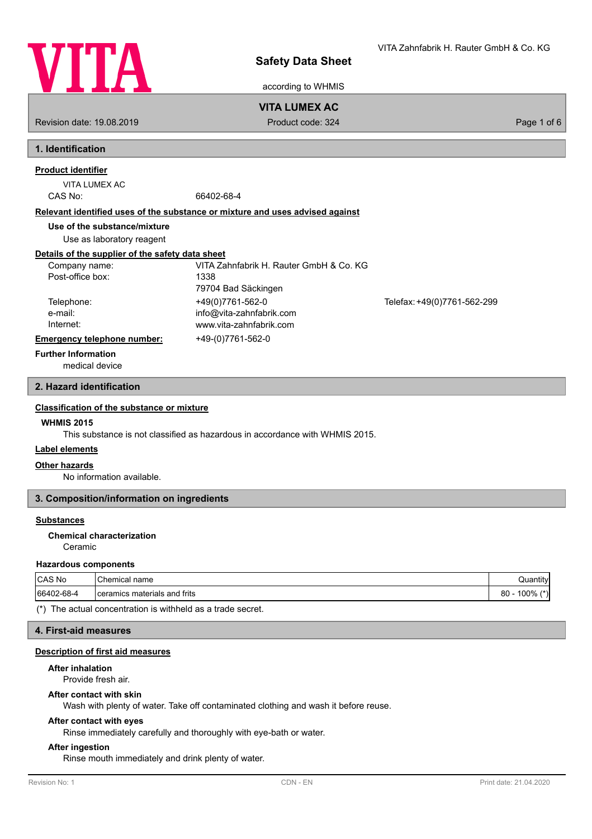

according to WHMIS

# **VITA LUMEX AC**

Revision date: 19.08.2019 **Product code: 324** Product code: 324 Page 1 of 6

# **1. Identification**

# **Product identifier**

# VITA LUMEX AC

CAS No: 66402-68-4

### **Relevant identified uses of the substance or mixture and uses advised against**

**Use of the substance/mixture**

Use as laboratory reagent

# **Details of the supplier of the safety data sheet**

| Company name:               | VITA Zahnfabrik H. Rauter GmbH & Co. KG |                             |
|-----------------------------|-----------------------------------------|-----------------------------|
| Post-office box:            | 1338                                    |                             |
|                             | 79704 Bad Säckingen                     |                             |
| Telephone:                  | +49(0)7761-562-0                        | Telefax: +49(0)7761-562-299 |
| e-mail:                     | info@vita-zahnfabrik.com                |                             |
| Internet:                   | www.vita-zahnfabrik.com                 |                             |
| Emergency telephone number: | +49-(0)7761-562-0                       |                             |
|                             |                                         |                             |

### **Further Information**

medical device

### **2. Hazard identification**

### **Classification of the substance or mixture**

### **WHMIS 2015**

This substance is not classified as hazardous in accordance with WHMIS 2015.

### **Label elements**

### **Other hazards**

No information available.

## **3. Composition/information on ingredients**

### **Substances**

Ceramic **Chemical characterization**

### **Hazardous components**

| CAS No     | Chemical<br>name                             | $\cdots$<br>Quantity |
|------------|----------------------------------------------|----------------------|
| 66402-68-4 | materials and frits<br><sup>1</sup> ceramics | $4*$<br>80<br>100%   |

(\*) The actual concentration is withheld as a trade secret.

### **4. First-aid measures**

### **Description of first aid measures**

### **After inhalation**

Provide fresh air.

### **After contact with skin**

Wash with plenty of water. Take off contaminated clothing and wash it before reuse.

### **After contact with eyes**

Rinse immediately carefully and thoroughly with eye-bath or water.

### **After ingestion**

Rinse mouth immediately and drink plenty of water.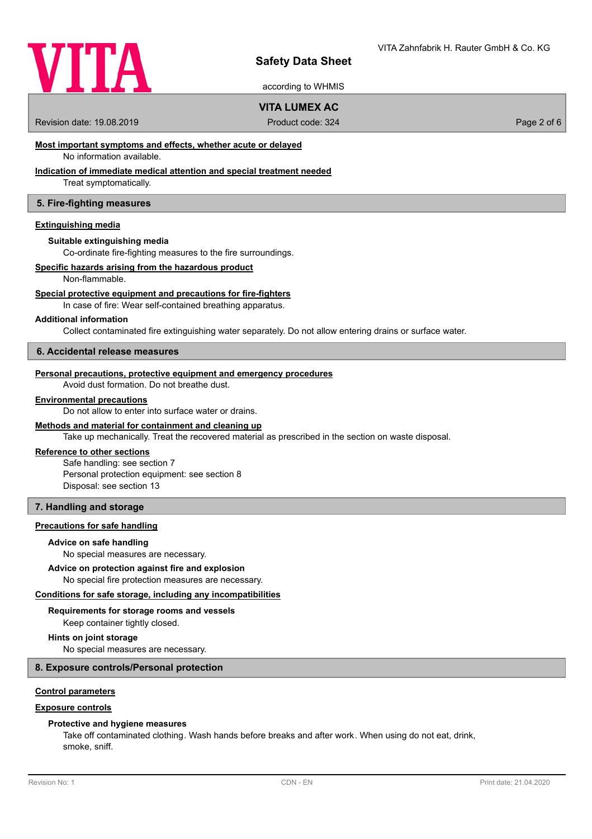

according to WHMIS

### **VITA LUMEX AC**

Revision date: 19.08.2019 **Product code: 324** Page 2 of 6

### **Most important symptoms and effects, whether acute or delayed**

No information available.

### **Indication of immediate medical attention and special treatment needed**

Treat symptomatically.

### **5. Fire-fighting measures**

#### **Extinguishing media**

#### **Suitable extinguishing media**

Co-ordinate fire-fighting measures to the fire surroundings.

#### **Specific hazards arising from the hazardous product**

Non-flammable.

#### **Special protective equipment and precautions for fire-fighters**

In case of fire: Wear self-contained breathing apparatus.

#### **Additional information**

Collect contaminated fire extinguishing water separately. Do not allow entering drains or surface water.

#### **6. Accidental release measures**

#### **Personal precautions, protective equipment and emergency procedures**

Avoid dust formation. Do not breathe dust.

#### **Environmental precautions**

Do not allow to enter into surface water or drains.

#### **Methods and material for containment and cleaning up**

Take up mechanically. Treat the recovered material as prescribed in the section on waste disposal.

#### **Reference to other sections**

Safe handling: see section 7 Personal protection equipment: see section 8 Disposal: see section 13

#### **7. Handling and storage**

#### **Precautions for safe handling**

#### **Advice on safe handling**

No special measures are necessary.

#### **Advice on protection against fire and explosion**

No special fire protection measures are necessary.

#### **Conditions for safe storage, including any incompatibilities**

### **Requirements for storage rooms and vessels**

Keep container tightly closed.

### **Hints on joint storage**

No special measures are necessary.

### **8. Exposure controls/Personal protection**

### **Control parameters**

### **Exposure controls**

### **Protective and hygiene measures**

Take off contaminated clothing. Wash hands before breaks and after work. When using do not eat, drink, smoke, sniff.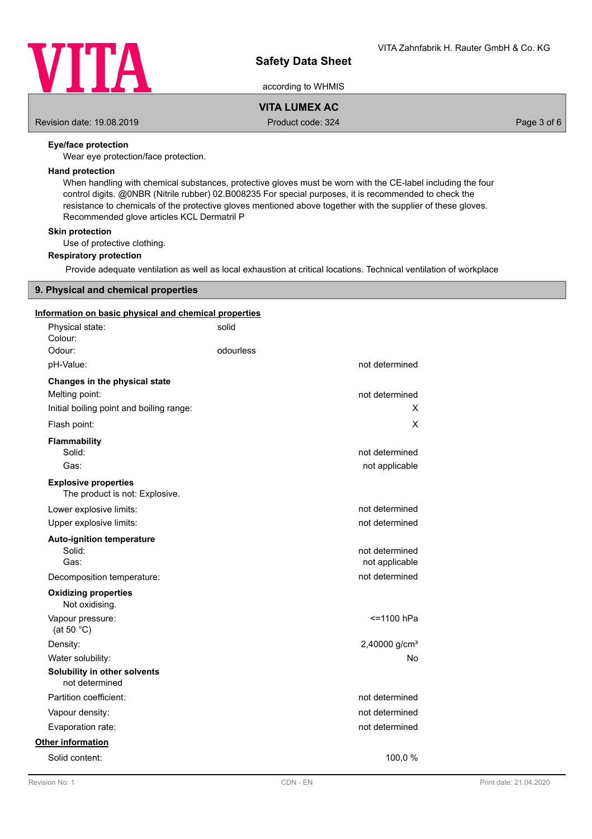

according to WHMIS

### **VITA LUMEX AC**

Revision date: 19.08.2019 **Product code: 324** Product code: 324 Page 3 of 6

### **Eye/face protection**

Wear eye protection/face protection.

### **Hand protection**

When handling with chemical substances, protective gloves must be worn with the CE-label including the four control digits. @0NBR (Nitrile rubber) 02.B008235 For special purposes, it is recommended to check the resistance to chemicals of the protective gloves mentioned above together with the supplier of these gloves. Recommended glove articles KCL Dermatril P

#### **Skin protection**

Use of protective clothing.

### **Respiratory protection**

Provide adequate ventilation as well as local exhaustion at critical locations. Technical ventilation of workplace

#### **9. Physical and chemical properties**

### **Information on basic physical and chemical properties**

|                   | Physical state:<br>Colour:                                    | solid     |                                  |  |
|-------------------|---------------------------------------------------------------|-----------|----------------------------------|--|
|                   | Odour:                                                        | odourless |                                  |  |
|                   | pH-Value:                                                     |           | not determined                   |  |
|                   | Changes in the physical state                                 |           |                                  |  |
|                   | Melting point:                                                |           | not determined                   |  |
|                   | Initial boiling point and boiling range:                      |           | X                                |  |
|                   | Flash point:                                                  |           | X                                |  |
|                   | <b>Flammability</b><br>Solid:                                 |           | not determined                   |  |
|                   | Gas:                                                          |           | not applicable                   |  |
|                   | <b>Explosive properties</b><br>The product is not: Explosive. |           |                                  |  |
|                   | Lower explosive limits:                                       |           | not determined                   |  |
|                   | Upper explosive limits:                                       |           | not determined                   |  |
|                   | <b>Auto-ignition temperature</b>                              |           |                                  |  |
|                   | Solid:<br>Gas:                                                |           | not determined<br>not applicable |  |
|                   | Decomposition temperature:                                    |           | not determined                   |  |
|                   | <b>Oxidizing properties</b><br>Not oxidising.                 |           |                                  |  |
|                   | Vapour pressure:<br>(at 50 $°C$ )                             |           | <= 1100 hPa                      |  |
|                   | Density:                                                      |           | 2,40000 g/cm <sup>3</sup>        |  |
|                   | Water solubility:                                             |           | No                               |  |
|                   | Solubility in other solvents<br>not determined                |           |                                  |  |
|                   | Partition coefficient:                                        |           | not determined                   |  |
|                   | Vapour density:                                               |           | not determined                   |  |
|                   | Evaporation rate:                                             |           | not determined                   |  |
| Other information |                                                               |           |                                  |  |
|                   | Solid content:                                                |           | 100,0%                           |  |
|                   |                                                               |           |                                  |  |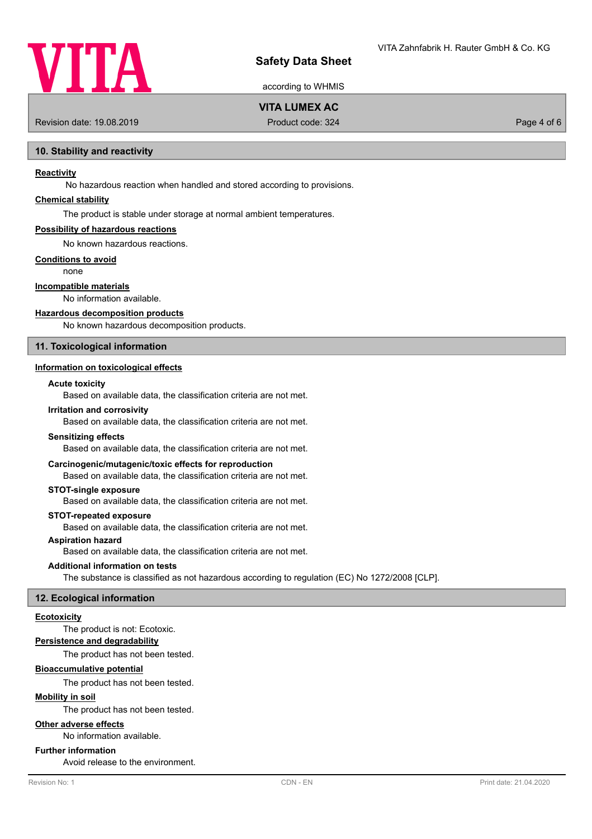

according to WHMIS

### **VITA LUMEX AC**

Revision date: 19.08.2019 **Product code: 324** Page 4 of 6

#### **10. Stability and reactivity**

#### **Reactivity**

No hazardous reaction when handled and stored according to provisions.

### **Chemical stability**

The product is stable under storage at normal ambient temperatures.

#### **Possibility of hazardous reactions**

No known hazardous reactions.

#### **Conditions to avoid**

none

#### **Incompatible materials**

No information available.

#### **Hazardous decomposition products**

No known hazardous decomposition products.

### **11. Toxicological information**

### **Information on toxicological effects**

#### **Acute toxicity**

Based on available data, the classification criteria are not met.

#### **Irritation and corrosivity**

Based on available data, the classification criteria are not met.

#### **Sensitizing effects**

Based on available data, the classification criteria are not met.

#### **Carcinogenic/mutagenic/toxic effects for reproduction**

Based on available data, the classification criteria are not met.

#### **STOT-single exposure**

Based on available data, the classification criteria are not met.

#### **STOT-repeated exposure**

Based on available data, the classification criteria are not met.

### **Aspiration hazard**

Based on available data, the classification criteria are not met.

#### **Additional information on tests**

The substance is classified as not hazardous according to regulation (EC) No 1272/2008 [CLP].

#### **12. Ecological information**

#### **Ecotoxicity**

The product is not: Ecotoxic.

### **Persistence and degradability**

The product has not been tested.

### **Bioaccumulative potential**

The product has not been tested.

#### **Mobility in soil**

The product has not been tested.

#### **Other adverse effects**

No information available.

### **Further information**

Avoid release to the environment.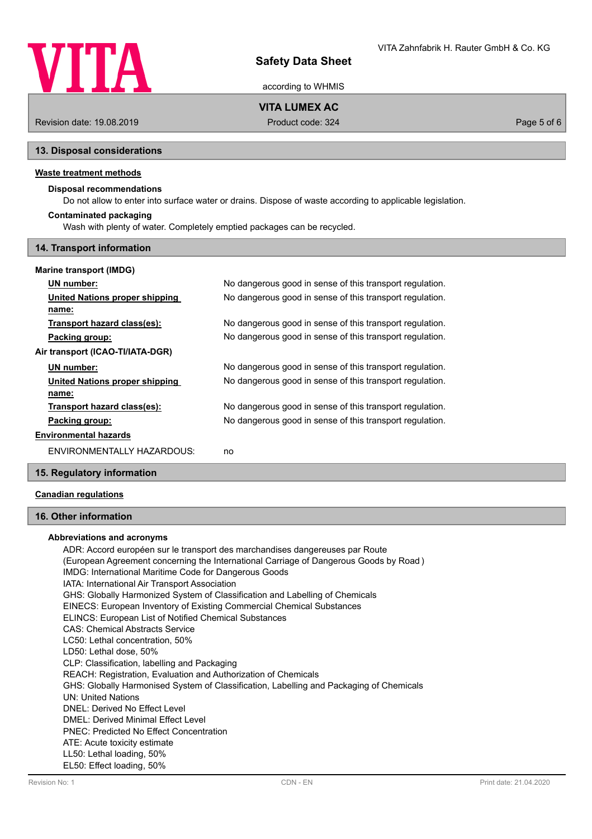

according to WHMIS

## **VITA LUMEX AC**

Revision date: 19.08.2019 **Product code: 324** Page 5 of 6

#### **13. Disposal considerations**

### **Waste treatment methods**

### **Disposal recommendations**

Do not allow to enter into surface water or drains. Dispose of waste according to applicable legislation.

#### **Contaminated packaging**

Wash with plenty of water. Completely emptied packages can be recycled.

### **14. Transport information**

| <b>Marine transport (IMDG)</b>   |                                                          |
|----------------------------------|----------------------------------------------------------|
| UN number:                       | No dangerous good in sense of this transport regulation. |
| United Nations proper shipping   | No dangerous good in sense of this transport regulation. |
| name:                            |                                                          |
| Transport hazard class(es):      | No dangerous good in sense of this transport regulation. |
| Packing group:                   | No dangerous good in sense of this transport regulation. |
| Air transport (ICAO-TI/IATA-DGR) |                                                          |
| UN number:                       | No dangerous good in sense of this transport regulation. |
| United Nations proper shipping   | No dangerous good in sense of this transport regulation. |
| name:                            |                                                          |
| Transport hazard class(es):      | No dangerous good in sense of this transport regulation. |
| Packing group:                   | No dangerous good in sense of this transport regulation. |
| Environmental hazards            |                                                          |
| ENVIRONMENTALLY HAZARDOUS:       | no                                                       |

#### **15. Regulatory information**

#### **Canadian regulations**

#### **16. Other information**

#### **Abbreviations and acronyms**

ADR: Accord européen sur le transport des marchandises dangereuses par Route (European Agreement concerning the International Carriage of Dangerous Goods by Road ) IMDG: International Maritime Code for Dangerous Goods IATA: International Air Transport Association GHS: Globally Harmonized System of Classification and Labelling of Chemicals EINECS: European Inventory of Existing Commercial Chemical Substances ELINCS: European List of Notified Chemical Substances CAS: Chemical Abstracts Service LC50: Lethal concentration, 50% LD50: Lethal dose, 50% CLP: Classification, labelling and Packaging REACH: Registration, Evaluation and Authorization of Chemicals GHS: Globally Harmonised System of Classification, Labelling and Packaging of Chemicals UN: United Nations DNEL: Derived No Effect Level DMEL: Derived Minimal Effect Level PNEC: Predicted No Effect Concentration ATE: Acute toxicity estimate LL50: Lethal loading, 50% EL50: Effect loading, 50%